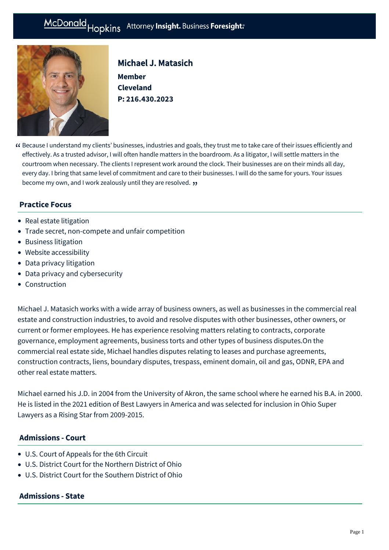# McDonald Hopkins Attorney Insight. Business Foresight:



# Michael J. Matasich **Member**

**Cleveland P: [216.430.2023](tel:216.430.2023)**

Because I understand my clients' businesses, industries and goals, they trust me to take care of their issues efficiently and " effectively. As a trusted advisor, I will often handle matters in the boardroom. As a litigator, I will settle matters in the courtroom when necessary. The clients I represent work around the clock. Their businesses are on their minds all day, every day. I bring that same level of commitment and care to their businesses. I will do the same for yours. Your issues **become my own, and I work zealously until they are resolved. <b>)**<br>

# **Practice Focus**

- [Real estate litigation](https://mcdonaldhopkins.com/Expertise/Real-estate/Real-estate-litigation)
- [Trade secret, non-compete and unfair competition](https://mcdonaldhopkins.com/Expertise/Litigation/Tradesecret-noncompete-unfair-competition)
- [Business litigation](https://mcdonaldhopkins.com/Expertise/Litigation/Business-litigation)
- [Website accessibility](https://mcdonaldhopkins.com/Expertise/Litigation/Website-accessibility)
- [Data privacy litigation](https://mcdonaldhopkins.com/Expertise/Data-privacy-and-cybersecurity/Data-privacy-litigation)
- [Data privacy and cybersecurity](https://mcdonaldhopkins.com/Expertise/Data-privacy-and-cybersecurity)
- [Construction](https://mcdonaldhopkins.com/Expertise/Industries/Construction)

Michael J. Matasich works with a wide array of business owners, as well as businesses in the commercial real estate and construction industries, to avoid and resolve disputes with other businesses, other owners, or current or former employees. He has experience resolving matters relating to contracts, corporate governance, employment agreements, business torts and other types of business disputes.On the commercial real estate side, Michael handles disputes relating to leases and purchase agreements, construction contracts, liens, boundary disputes, trespass, eminent domain, oil and gas, ODNR, EPA and other real estate matters.

Michael earned his J.D. in 2004 from the University of Akron, the same school where he earned his B.A. in 2000. He is listed in the 2021 edition of Best Lawyers in America and was selected for inclusion in Ohio Super Lawyers as a Rising Star from 2009-2015.

### **Admissions - Court**

- U.S. Court of Appeals for the 6th Circuit
- U.S. District Court for the Northern District of Ohio
- U.S. District Court for the Southern District of Ohio

#### **Admissions - State**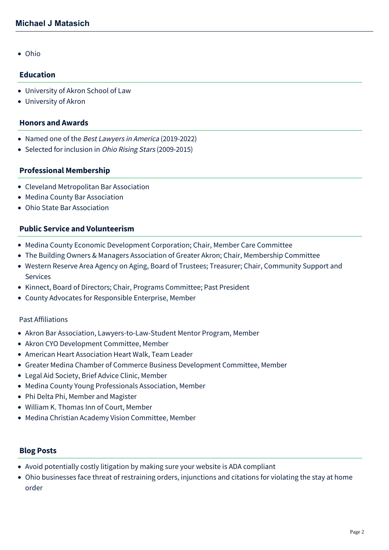Ohio

### **Education**

- University of Akron School of Law
- University of Akron

#### **Honors and Awards**

- Named one of the Best Lawyers in America (2019-2022)
- Selected for inclusion in *Ohio Rising Stars* (2009-2015)

### **Professional Membership**

- Cleveland Metropolitan Bar Association
- Medina County Bar Association
- Ohio State Bar Association

## **Public Service and Volunteerism**

- Medina County Economic Development Corporation; Chair, Member Care Committee
- The Building Owners & Managers Association of Greater Akron; Chair, Membership Committee
- Western Reserve Area Agency on Aging, Board of Trustees; Treasurer; Chair, Community Support and Services
- Kinnect, Board of Directors; Chair, Programs Committee; Past President
- County Advocates for Responsible Enterprise, Member

#### Past Affiliations

- Akron Bar Association, Lawyers-to-Law-Student Mentor Program, Member
- Akron CYO Development Committee, Member
- American Heart Association Heart Walk, Team Leader
- Greater Medina Chamber of Commerce Business Development Committee, Member
- Legal Aid Society, Brief Advice Clinic, Member
- Medina County Young Professionals Association, Member
- Phi Delta Phi, Member and Magister
- William K. Thomas Inn of Court, Member
- Medina Christian Academy Vision Committee, Member

### **Blog Posts**

- [Avoid potentially costly litigation by making sure your website is ADA compliant](https://mcdonaldhopkins.com/Insights/August-2020/Avoid-potentially-costly-litigation-by-making-sure)
- [Ohio businesses face threat of restraining orders, injunctions and citations for violating the stay at home](https://mcdonaldhopkins.com/Insights/April-2020/Ohio-businesses-face-threat-of-restraining-orders) order